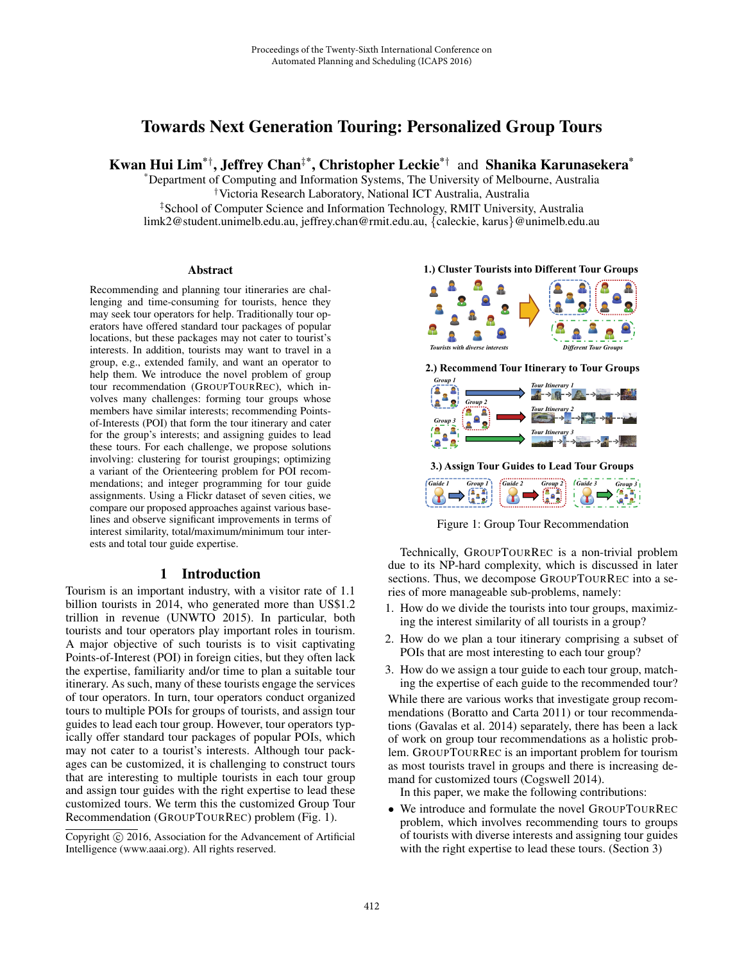# Towards Next Generation Touring: Personalized Group Tours

Kwan Hui Lim\*† , Jeffrey Chan‡\*, Christopher Leckie\*† and Shanika Karunasekera\*

\*Department of Computing and Information Systems, The University of Melbourne, Australia †Victoria Research Laboratory, National ICT Australia, Australia

‡School of Computer Science and Information Technology, RMIT University, Australia limk2@student.unimelb.edu.au, jeffrey.chan@rmit.edu.au, {caleckie, karus}@unimelb.edu.au

#### Abstract

Recommending and planning tour itineraries are challenging and time-consuming for tourists, hence they may seek tour operators for help. Traditionally tour operators have offered standard tour packages of popular locations, but these packages may not cater to tourist's interests. In addition, tourists may want to travel in a group, e.g., extended family, and want an operator to help them. We introduce the novel problem of group tour recommendation (GROUPTOURREC), which involves many challenges: forming tour groups whose members have similar interests; recommending Pointsof-Interests (POI) that form the tour itinerary and cater for the group's interests; and assigning guides to lead these tours. For each challenge, we propose solutions involving: clustering for tourist groupings; optimizing a variant of the Orienteering problem for POI recommendations; and integer programming for tour guide assignments. Using a Flickr dataset of seven cities, we compare our proposed approaches against various baselines and observe significant improvements in terms of interest similarity, total/maximum/minimum tour interests and total tour guide expertise.

### 1 Introduction

Tourism is an important industry, with a visitor rate of 1.1 billion tourists in 2014, who generated more than US\$1.2 trillion in revenue (UNWTO 2015). In particular, both tourists and tour operators play important roles in tourism. A major objective of such tourists is to visit captivating Points-of-Interest (POI) in foreign cities, but they often lack the expertise, familiarity and/or time to plan a suitable tour itinerary. As such, many of these tourists engage the services of tour operators. In turn, tour operators conduct organized tours to multiple POIs for groups of tourists, and assign tour guides to lead each tour group. However, tour operators typically offer standard tour packages of popular POIs, which may not cater to a tourist's interests. Although tour packages can be customized, it is challenging to construct tours that are interesting to multiple tourists in each tour group and assign tour guides with the right expertise to lead these customized tours. We term this the customized Group Tour Recommendation (GROUPTOURREC) problem (Fig. 1).



**1.) Cluster Tourists into Different Tour Groups** 

**2.) Recommend Tour Itinerary to Tour Groups** 



**3.) Assign Tour Guides to Lead Tour Groups**  *Guide 1* Group 1 *Guide 2* Group 2 *Guide 3* Group 3 اھ!

Figure 1: Group Tour Recommendation

Technically, GROUPTOURREC is a non-trivial problem due to its NP-hard complexity, which is discussed in later sections. Thus, we decompose GROUPTOURREC into a series of more manageable sub-problems, namely:

- 1. How do we divide the tourists into tour groups, maximizing the interest similarity of all tourists in a group?
- 2. How do we plan a tour itinerary comprising a subset of POIs that are most interesting to each tour group?
- 3. How do we assign a tour guide to each tour group, matching the expertise of each guide to the recommended tour?

While there are various works that investigate group recommendations (Boratto and Carta 2011) or tour recommendations (Gavalas et al. 2014) separately, there has been a lack of work on group tour recommendations as a holistic problem. GROUPTOURREC is an important problem for tourism as most tourists travel in groups and there is increasing demand for customized tours (Cogswell 2014).

In this paper, we make the following contributions:

• We introduce and formulate the novel GROUPTOURREC problem, which involves recommending tours to groups of tourists with diverse interests and assigning tour guides with the right expertise to lead these tours. (Section 3)

Copyright  $\odot$  2016, Association for the Advancement of Artificial Intelligence (www.aaai.org). All rights reserved.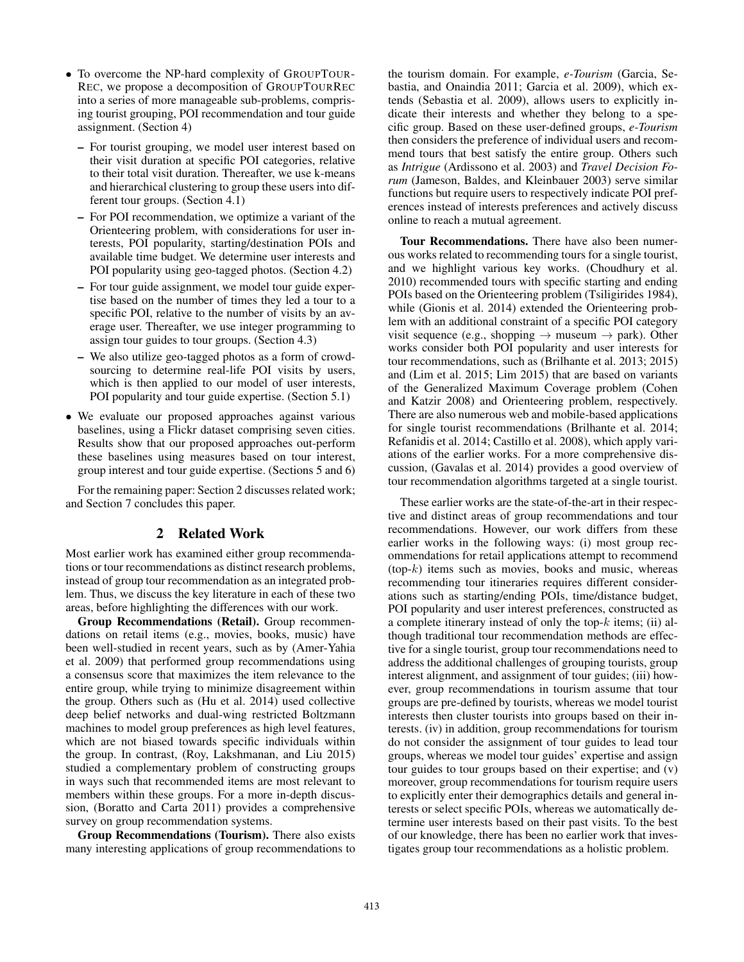- To overcome the NP-hard complexity of GROUPTOUR-REC, we propose a decomposition of GROUPTOURREC into a series of more manageable sub-problems, comprising tourist grouping, POI recommendation and tour guide assignment. (Section 4)
	- For tourist grouping, we model user interest based on their visit duration at specific POI categories, relative to their total visit duration. Thereafter, we use k-means and hierarchical clustering to group these users into different tour groups. (Section 4.1)
	- For POI recommendation, we optimize a variant of the Orienteering problem, with considerations for user interests, POI popularity, starting/destination POIs and available time budget. We determine user interests and POI popularity using geo-tagged photos. (Section 4.2)
	- For tour guide assignment, we model tour guide expertise based on the number of times they led a tour to a specific POI, relative to the number of visits by an average user. Thereafter, we use integer programming to assign tour guides to tour groups. (Section 4.3)
	- We also utilize geo-tagged photos as a form of crowdsourcing to determine real-life POI visits by users, which is then applied to our model of user interests, POI popularity and tour guide expertise. (Section 5.1)
- We evaluate our proposed approaches against various baselines, using a Flickr dataset comprising seven cities. Results show that our proposed approaches out-perform these baselines using measures based on tour interest, group interest and tour guide expertise. (Sections 5 and 6)

For the remaining paper: Section 2 discusses related work; and Section 7 concludes this paper.

# 2 Related Work

Most earlier work has examined either group recommendations or tour recommendations as distinct research problems, instead of group tour recommendation as an integrated problem. Thus, we discuss the key literature in each of these two areas, before highlighting the differences with our work.

Group Recommendations (Retail). Group recommendations on retail items (e.g., movies, books, music) have been well-studied in recent years, such as by (Amer-Yahia et al. 2009) that performed group recommendations using a consensus score that maximizes the item relevance to the entire group, while trying to minimize disagreement within the group. Others such as (Hu et al. 2014) used collective deep belief networks and dual-wing restricted Boltzmann machines to model group preferences as high level features, which are not biased towards specific individuals within the group. In contrast, (Roy, Lakshmanan, and Liu 2015) studied a complementary problem of constructing groups in ways such that recommended items are most relevant to members within these groups. For a more in-depth discussion, (Boratto and Carta 2011) provides a comprehensive survey on group recommendation systems.

Group Recommendations (Tourism). There also exists many interesting applications of group recommendations to

the tourism domain. For example, *e-Tourism* (Garcia, Sebastia, and Onaindia 2011; Garcia et al. 2009), which extends (Sebastia et al. 2009), allows users to explicitly indicate their interests and whether they belong to a specific group. Based on these user-defined groups, *e-Tourism* then considers the preference of individual users and recommend tours that best satisfy the entire group. Others such as *Intrigue* (Ardissono et al. 2003) and *Travel Decision Forum* (Jameson, Baldes, and Kleinbauer 2003) serve similar functions but require users to respectively indicate POI preferences instead of interests preferences and actively discuss online to reach a mutual agreement.

Tour Recommendations. There have also been numerous works related to recommending tours for a single tourist, and we highlight various key works. (Choudhury et al. 2010) recommended tours with specific starting and ending POIs based on the Orienteering problem (Tsiligirides 1984), while (Gionis et al. 2014) extended the Orienteering problem with an additional constraint of a specific POI category visit sequence (e.g., shopping  $\rightarrow$  museum  $\rightarrow$  park). Other works consider both POI popularity and user interests for tour recommendations, such as (Brilhante et al. 2013; 2015) and (Lim et al. 2015; Lim 2015) that are based on variants of the Generalized Maximum Coverage problem (Cohen and Katzir 2008) and Orienteering problem, respectively. There are also numerous web and mobile-based applications for single tourist recommendations (Brilhante et al. 2014; Refanidis et al. 2014; Castillo et al. 2008), which apply variations of the earlier works. For a more comprehensive discussion, (Gavalas et al. 2014) provides a good overview of tour recommendation algorithms targeted at a single tourist.

These earlier works are the state-of-the-art in their respective and distinct areas of group recommendations and tour recommendations. However, our work differs from these earlier works in the following ways: (i) most group recommendations for retail applications attempt to recommend  $(top-k)$  items such as movies, books and music, whereas recommending tour itineraries requires different considerations such as starting/ending POIs, time/distance budget, POI popularity and user interest preferences, constructed as a complete itinerary instead of only the top- $k$  items; (ii) although traditional tour recommendation methods are effective for a single tourist, group tour recommendations need to address the additional challenges of grouping tourists, group interest alignment, and assignment of tour guides; (iii) however, group recommendations in tourism assume that tour groups are pre-defined by tourists, whereas we model tourist interests then cluster tourists into groups based on their interests. (iv) in addition, group recommendations for tourism do not consider the assignment of tour guides to lead tour groups, whereas we model tour guides' expertise and assign tour guides to tour groups based on their expertise; and (v) moreover, group recommendations for tourism require users to explicitly enter their demographics details and general interests or select specific POIs, whereas we automatically determine user interests based on their past visits. To the best of our knowledge, there has been no earlier work that investigates group tour recommendations as a holistic problem.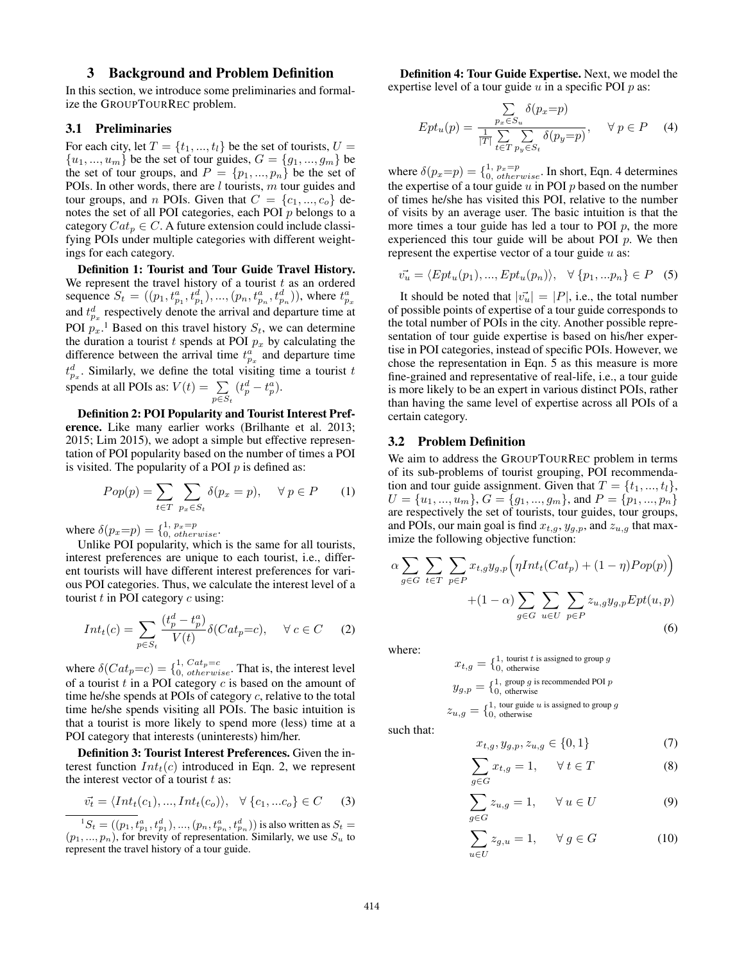# 3 Background and Problem Definition

In this section, we introduce some preliminaries and formalize the GROUPTOURREC problem.

### 3.1 Preliminaries

For each city, let  $T = \{t_1, ..., t_l\}$  be the set of tourists,  $U =$  ${u_1, ..., u_m}$  be the set of tour guides,  $G = {g_1, ..., g_m}$  be the set of tour groups, and  $P = \{p_1, ..., p_n\}$  be the set of POIs. In other words, there are  $l$  tourists,  $m$  tour guides and tour groups, and *n* POIs. Given that  $C = \{c_1, ..., c_o\}$  denotes the set of all POI categories, each POI p belongs to a category  $Cat_p \in C$ . A future extension could include classifying POIs under multiple categories with different weightings for each category.

Definition 1: Tourist and Tour Guide Travel History. We represent the travel history of a tourist  $t$  as an ordered sequence  $S_t = ((p_1, t_{p_1}^a, t_{p_1}^d), ..., (p_n, t_{p_n}^a, t_{p_n}^d))$ , where  $t_{p_x}^a$  and  $t_{p_x}^d$  respectively denote the arrival and departure time at POI  $p_x$ .<sup>1</sup> Based on this travel history  $S_t$ , we can determine the duration a tourist t spends at POI  $p_x$  by calculating the difference between the arrival time  $t_{p_x}^a$  and departure time  $t_{p_x}^d$ . Similarly, we define the total visiting time a tourist t spends at all POIs as:  $V(t) = \sum (t_p^d - t_p^a)$ .  $p \in S_t$  $(t_p^d - t_p^a)$ .

Definition 2: POI Popularity and Tourist Interest Preference. Like many earlier works (Brilhante et al. 2013; 2015; Lim 2015), we adopt a simple but effective representation of POI popularity based on the number of times a POI is visited. The popularity of a POI  $p$  is defined as:

$$
Pop(p) = \sum_{t \in T} \sum_{p_x \in S_t} \delta(p_x = p), \quad \forall \, p \in P \qquad (1)
$$

where  $\delta(p_x=p) = \begin{cases} 1, & p_x=p \\ 0, & otherwise \end{cases}$ .

Unlike POI popularity, which is the same for all tourists, interest preferences are unique to each tourist, i.e., different tourists will have different interest preferences for various POI categories. Thus, we calculate the interest level of a tourist  $t$  in POI category  $c$  using:

$$
Int_t(c) = \sum_{p \in S_t} \frac{(t_p^d - t_p^a)}{V(t)} \delta(Cat_p = c), \quad \forall \ c \in C \quad (2)
$$

where  $\delta(Cat_p=c) = \begin{cases} 1, \text{Cat}_p=c \\ 0, \text{ otherwise} \end{cases}$ . That is, the interest level of a tourist  $t$  in a POI category  $c$  is based on the amount of time he/she spends at POIs of category c, relative to the total time he/she spends visiting all POIs. The basic intuition is that a tourist is more likely to spend more (less) time at a POI category that interests (uninterests) him/her.

Definition 3: Tourist Interest Preferences. Given the interest function  $Int_t(c)$  introduced in Eqn. 2, we represent the interest vector of a tourist  $t$  as:

$$
\overrightarrow{v_t} = \langle Int_t(c_1), ..., Int_t(c_o) \rangle, \quad \forall \{c_1, ... c_o\} \in C \qquad (3)
$$

 ${}^{1}S_{t} = ((p_1, t_{p_1}^a, t_{p_1}^d), ..., (p_n, t_{p_n}^a, t_{p_n}^d))$  is also written as  $S_{t} = (p_1, ..., p_n)$ , for brevity of representation. Similarly, we use  $S_u$  to represent the travel history of a tour guide.

Definition 4: Tour Guide Expertise. Next, we model the expertise level of a tour guide  $u$  in a specific POI  $p$  as:

$$
Ept_u(p) = \frac{\sum\limits_{p_x \in S_u} \delta(p_x = p)}{\frac{1}{|T|} \sum\limits_{t \in T} \sum\limits_{p_y \in S_t} \delta(p_y = p)}, \quad \forall \ p \in P \quad (4)
$$

where  $\delta(p_x=p) = \{^{1, p_x=p}_{0, \ otherwise}$ . In short, Eqn. 4 determines the expertise of a tour guide  $u$  in POI  $p$  based on the number of times he/she has visited this POI, relative to the number of visits by an average user. The basic intuition is that the more times a tour guide has led a tour to POI  $p$ , the more experienced this tour guide will be about POI  $p$ . We then represent the expertise vector of a tour guide  $u$  as:

$$
\vec{v_u} = \langle Ept_u(p_1), \dots, Ept_u(p_n) \rangle, \quad \forall \{p_1, \dots p_n\} \in P \quad (5)
$$

It should be noted that  $|\vec{v_u}| = |P|$ , i.e., the total number of possible points of expertise of a tour guide corresponds to the total number of POIs in the city. Another possible representation of tour guide expertise is based on his/her expertise in POI categories, instead of specific POIs. However, we chose the representation in Eqn. 5 as this measure is more fine-grained and representative of real-life, i.e., a tour guide is more likely to be an expert in various distinct POIs, rather than having the same level of expertise across all POIs of a certain category.

### 3.2 Problem Definition

We aim to address the GROUPTOURREC problem in terms of its sub-problems of tourist grouping, POI recommendation and tour guide assignment. Given that  $T = \{t_1, ..., t_l\},\$  $U = \{u_1, ..., u_m\}, G = \{g_1, ..., g_m\}, \text{and } P = \{p_1, ..., p_n\}$ are respectively the set of tourists, tour guides, tour groups, and POIs, our main goal is find  $x_{t,g}$ ,  $y_{g,p}$ , and  $z_{u,g}$  that maximize the following objective function:

$$
\alpha \sum_{g \in G} \sum_{t \in T} \sum_{p \in P} x_{t,g} y_{g,p} \left( \eta Int_t(Cat_p) + (1 - \eta) Pop(p) \right)
$$

$$
+ (1 - \alpha) \sum_{g \in G} \sum_{u \in U} \sum_{p \in P} z_{u,g} y_{g,p} Ept(u,p)
$$
(6)

where:

$$
x_{t,g} = \{1, \text{ tourist } t \text{ is assigned to group } g
$$

$$
y_{g,p} = \{1, \text{group } g \text{ is recommended POI } p
$$

$$
y_{g,p} = \{1, \text{group } g \text{ is recommended POI } p
$$

$$
z_{u,g} = \{1, \text{tour guide } u \text{ is assigned to group } g
$$

such that:

$$
x_{t,g}, y_{g,p}, z_{u,g} \in \{0, 1\} \tag{7}
$$

$$
\sum_{g \in G} x_{t,g} = 1, \qquad \forall \ t \in T \tag{8}
$$

$$
\sum_{g \in G} z_{u,g} = 1, \quad \forall \ u \in U \tag{9}
$$

$$
\sum_{u \in U} z_{g,u} = 1, \quad \forall g \in G \tag{10}
$$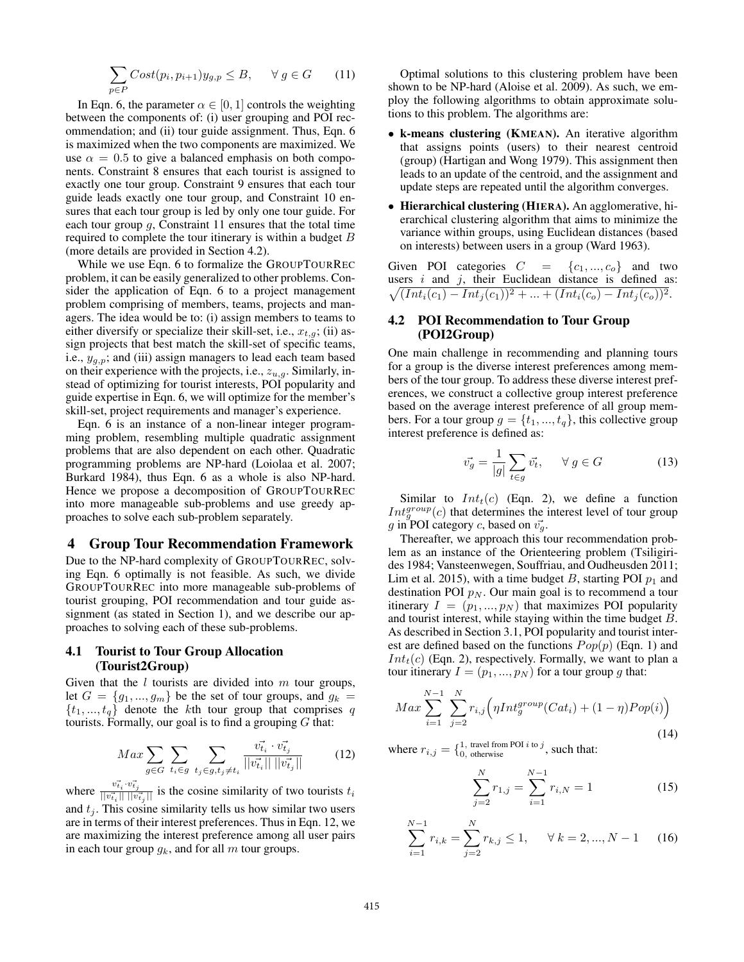$$
\sum_{p \in P} Cost(p_i, p_{i+1}) y_{g,p} \le B, \quad \forall g \in G \qquad (11)
$$

In Eqn. 6, the parameter  $\alpha \in [0, 1]$  controls the weighting between the components of: (i) user grouping and POI recommendation; and (ii) tour guide assignment. Thus, Eqn. 6 is maximized when the two components are maximized. We use  $\alpha = 0.5$  to give a balanced emphasis on both components. Constraint 8 ensures that each tourist is assigned to exactly one tour group. Constraint 9 ensures that each tour guide leads exactly one tour group, and Constraint 10 ensures that each tour group is led by only one tour guide. For each tour group  $q$ , Constraint 11 ensures that the total time required to complete the tour itinerary is within a budget B (more details are provided in Section 4.2).

While we use Eqn. 6 to formalize the GROUPTOURREC problem, it can be easily generalized to other problems. Consider the application of Eqn. 6 to a project management problem comprising of members, teams, projects and managers. The idea would be to: (i) assign members to teams to either diversify or specialize their skill-set, i.e.,  $x_{t,g}$ ; (ii) assign projects that best match the skill-set of specific teams, i.e.,  $y_{q,p}$ ; and (iii) assign managers to lead each team based on their experience with the projects, i.e.,  $z_{u,q}$ . Similarly, instead of optimizing for tourist interests, POI popularity and guide expertise in Eqn. 6, we will optimize for the member's skill-set, project requirements and manager's experience.

Eqn. 6 is an instance of a non-linear integer programming problem, resembling multiple quadratic assignment problems that are also dependent on each other. Quadratic programming problems are NP-hard (Loiolaa et al. 2007; Burkard 1984), thus Eqn. 6 as a whole is also NP-hard. Hence we propose a decomposition of GROUPTOURREC into more manageable sub-problems and use greedy approaches to solve each sub-problem separately.

#### 4 Group Tour Recommendation Framework

Due to the NP-hard complexity of GROUPTOURREC, solving Eqn. 6 optimally is not feasible. As such, we divide GROUPTOURREC into more manageable sub-problems of tourist grouping, POI recommendation and tour guide assignment (as stated in Section 1), and we describe our approaches to solving each of these sub-problems.

## 4.1 Tourist to Tour Group Allocation (Tourist2Group)

Given that the  $l$  tourists are divided into  $m$  tour groups, let  $G = \{g_1, ..., g_m\}$  be the set of tour groups, and  $g_k =$  $\{t_1, ..., t_q\}$  denote the kth tour group that comprises q tourists. Formally, our goal is to find a grouping  $G$  that:

$$
Max \sum_{g \in G} \sum_{t_i \in g} \sum_{t_j \in g, t_j \neq t_i} \frac{\vec{v_{t_i}} \cdot \vec{v_{t_j}}}{||\vec{v_{t_i}}|| \, ||\vec{v_{t_j}}||}
$$
(12)

where  $\frac{v_{t_i}^2 \cdot v_{t_j}^2}{||v_{t_i}^2|| \cdot ||v_{t_j}^2||}$  is the cosine similarity of two tourists  $t_i$ and  $t_i$ . This cosine similarity tells us how similar two users are in terms of their interest preferences. Thus in Eqn. 12, we are maximizing the interest preference among all user pairs in each tour group  $g_k$ , and for all m tour groups.

Optimal solutions to this clustering problem have been shown to be NP-hard (Aloise et al. 2009). As such, we employ the following algorithms to obtain approximate solutions to this problem. The algorithms are:

- k-means clustering (KMEAN). An iterative algorithm that assigns points (users) to their nearest centroid (group) (Hartigan and Wong 1979). This assignment then leads to an update of the centroid, and the assignment and update steps are repeated until the algorithm converges.
- Hierarchical clustering (HIERA). An agglomerative, hierarchical clustering algorithm that aims to minimize the variance within groups, using Euclidean distances (based on interests) between users in a group (Ward 1963).

Given POI categories  $C = \{c_1, ..., c_o\}$  and two users  $i$  and  $j$ , their Euclidean distance is defined as:  $\sqrt{(Int_i(c_1) - Int_j(c_1))^2 + \dots + (Int_i(c_o) - Int_j(c_o))^2}.$ 

## 4.2 POI Recommendation to Tour Group (POI2Group)

One main challenge in recommending and planning tours for a group is the diverse interest preferences among members of the tour group. To address these diverse interest preferences, we construct a collective group interest preference based on the average interest preference of all group members. For a tour group  $g = \{t_1, ..., t_q\}$ , this collective group interest preference is defined as:

$$
\vec{v_g} = \frac{1}{|g|} \sum_{t \in g} \vec{v_t}, \quad \forall g \in G \tag{13}
$$

Similar to  $Int<sub>t</sub>(c)$  (Eqn. 2), we define a function  $Int_g^{group}(c)$  that determines the interest level of tour group g in POI category c, based on  $\vec{v_q}$ .

Thereafter, we approach this tour recommendation problem as an instance of the Orienteering problem (Tsiligirides 1984; Vansteenwegen, Souffriau, and Oudheusden 2011; Lim et al. 2015), with a time budget  $B$ , starting POI  $p_1$  and destination POI  $p_N$ . Our main goal is to recommend a tour itinerary  $I = (p_1, ..., p_N)$  that maximizes POI popularity and tourist interest, while staying within the time budget B. As described in Section 3.1, POI popularity and tourist interest are defined based on the functions  $Pop(p)$  (Eqn. 1) and  $Int<sub>t</sub>(c)$  (Eqn. 2), respectively. Formally, we want to plan a tour itinerary  $I = (p_1, ..., p_N)$  for a tour group g that:

$$
Max \sum_{i=1}^{N-1} \sum_{j=2}^{N} r_{i,j} \Big( \eta Int_{g}^{group}(Cat_i) + (1 - \eta)Pop(i) \Big)
$$
\n(14)

where  $r_{i,j} = \{ \substack{1, \text{ travel from POI } i \text{ to } j, \\ 0, \text{ otherwise}}$ , such that:

$$
\sum_{j=2}^{N} r_{1,j} = \sum_{i=1}^{N-1} r_{i,N} = 1
$$
 (15)

$$
\sum_{i=1}^{N-1} r_{i,k} = \sum_{j=2}^{N} r_{k,j} \le 1, \quad \forall \ k = 2, ..., N-1 \quad (16)
$$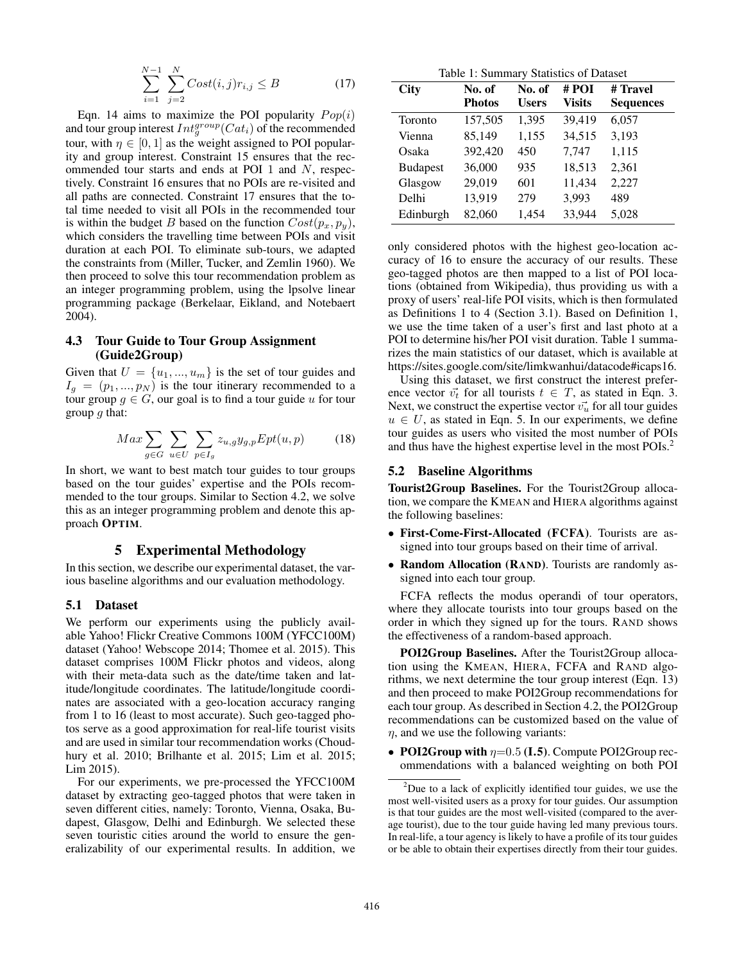$$
\sum_{i=1}^{N-1} \sum_{j=2}^{N} Cost(i,j)r_{i,j} \le B \tag{17}
$$

Eqn. 14 aims to maximize the POI popularity  $Pop(i)$ and tour group interest  $Int_g^{group}(Cat_i)$  of the recommended tour, with  $\eta \in [0, 1]$  as the weight assigned to POI popularity and group interest. Constraint 15 ensures that the recommended tour starts and ends at POI 1 and N, respectively. Constraint 16 ensures that no POIs are re-visited and all paths are connected. Constraint 17 ensures that the total time needed to visit all POIs in the recommended tour is within the budget B based on the function  $Cost(p_x, p_y)$ , which considers the travelling time between POIs and visit duration at each POI. To eliminate sub-tours, we adapted the constraints from (Miller, Tucker, and Zemlin 1960). We then proceed to solve this tour recommendation problem as an integer programming problem, using the lpsolve linear programming package (Berkelaar, Eikland, and Notebaert 2004).

# 4.3 Tour Guide to Tour Group Assignment (Guide2Group)

Given that  $U = \{u_1, ..., u_m\}$  is the set of tour guides and  $I_g = (p_1, ..., p_N)$  is the tour itinerary recommended to a tour group  $g \in G$ , our goal is to find a tour guide u for tour group  $q$  that:

$$
Max \sum_{g \in G} \sum_{u \in U} \sum_{p \in I_g} z_{u,g} y_{g,p} Ept(u,p) \tag{18}
$$

In short, we want to best match tour guides to tour groups based on the tour guides' expertise and the POIs recommended to the tour groups. Similar to Section 4.2, we solve this as an integer programming problem and denote this approach OPTIM.

### 5 Experimental Methodology

In this section, we describe our experimental dataset, the various baseline algorithms and our evaluation methodology.

#### 5.1 Dataset

We perform our experiments using the publicly available Yahoo! Flickr Creative Commons 100M (YFCC100M) dataset (Yahoo! Webscope 2014; Thomee et al. 2015). This dataset comprises 100M Flickr photos and videos, along with their meta-data such as the date/time taken and latitude/longitude coordinates. The latitude/longitude coordinates are associated with a geo-location accuracy ranging from 1 to 16 (least to most accurate). Such geo-tagged photos serve as a good approximation for real-life tourist visits and are used in similar tour recommendation works (Choudhury et al. 2010; Brilhante et al. 2015; Lim et al. 2015; Lim 2015).

For our experiments, we pre-processed the YFCC100M dataset by extracting geo-tagged photos that were taken in seven different cities, namely: Toronto, Vienna, Osaka, Budapest, Glasgow, Delhi and Edinburgh. We selected these seven touristic cities around the world to ensure the generalizability of our experimental results. In addition, we

Table 1: Summary Statistics of Dataset

| City            | No. of<br><b>Photos</b> | No. of<br><b>Users</b> | # POI<br><b>Visits</b> | # Travel<br><b>Sequences</b> |
|-----------------|-------------------------|------------------------|------------------------|------------------------------|
| Toronto         | 157,505                 | 1,395                  | 39,419                 | 6,057                        |
| Vienna          | 85,149                  | 1,155                  | 34,515                 | 3,193                        |
| Osaka           | 392,420                 | 450                    | 7,747                  | 1,115                        |
| <b>Budapest</b> | 36,000                  | 935                    | 18,513                 | 2,361                        |
| Glasgow         | 29,019                  | 601                    | 11,434                 | 2,227                        |
| Delhi           | 13,919                  | 279                    | 3,993                  | 489                          |
| Edinburgh       | 82,060                  | 1,454                  | 33,944                 | 5,028                        |

only considered photos with the highest geo-location accuracy of 16 to ensure the accuracy of our results. These geo-tagged photos are then mapped to a list of POI locations (obtained from Wikipedia), thus providing us with a proxy of users' real-life POI visits, which is then formulated as Definitions 1 to 4 (Section 3.1). Based on Definition 1, we use the time taken of a user's first and last photo at a POI to determine his/her POI visit duration. Table 1 summarizes the main statistics of our dataset, which is available at https://sites.google.com/site/limkwanhui/datacode#icaps16.

Using this dataset, we first construct the interest preference vector  $\vec{v_t}$  for all tourists  $t \in T$ , as stated in Eqn. 3. Next, we construct the expertise vector  $\vec{v_u}$  for all tour guides  $u \in U$ , as stated in Eqn. 5. In our experiments, we define tour guides as users who visited the most number of POIs and thus have the highest expertise level in the most POIs.2

### 5.2 Baseline Algorithms

Tourist2Group Baselines. For the Tourist2Group allocation, we compare the KMEAN and HIERA algorithms against the following baselines:

- First-Come-First-Allocated (FCFA). Tourists are assigned into tour groups based on their time of arrival.
- Random Allocation (RAND). Tourists are randomly assigned into each tour group.

FCFA reflects the modus operandi of tour operators, where they allocate tourists into tour groups based on the order in which they signed up for the tours. RAND shows the effectiveness of a random-based approach.

POI2Group Baselines. After the Tourist2Group allocation using the KMEAN, HIERA, FCFA and RAND algorithms, we next determine the tour group interest (Eqn. 13) and then proceed to make POI2Group recommendations for each tour group. As described in Section 4.2, the POI2Group recommendations can be customized based on the value of  $\eta$ , and we use the following variants:

• POI2Group with  $\eta$ =0.5 (I.5). Compute POI2Group recommendations with a balanced weighting on both POI

 $2$ Due to a lack of explicitly identified tour guides, we use the most well-visited users as a proxy for tour guides. Our assumption is that tour guides are the most well-visited (compared to the average tourist), due to the tour guide having led many previous tours. In real-life, a tour agency is likely to have a profile of its tour guides or be able to obtain their expertises directly from their tour guides.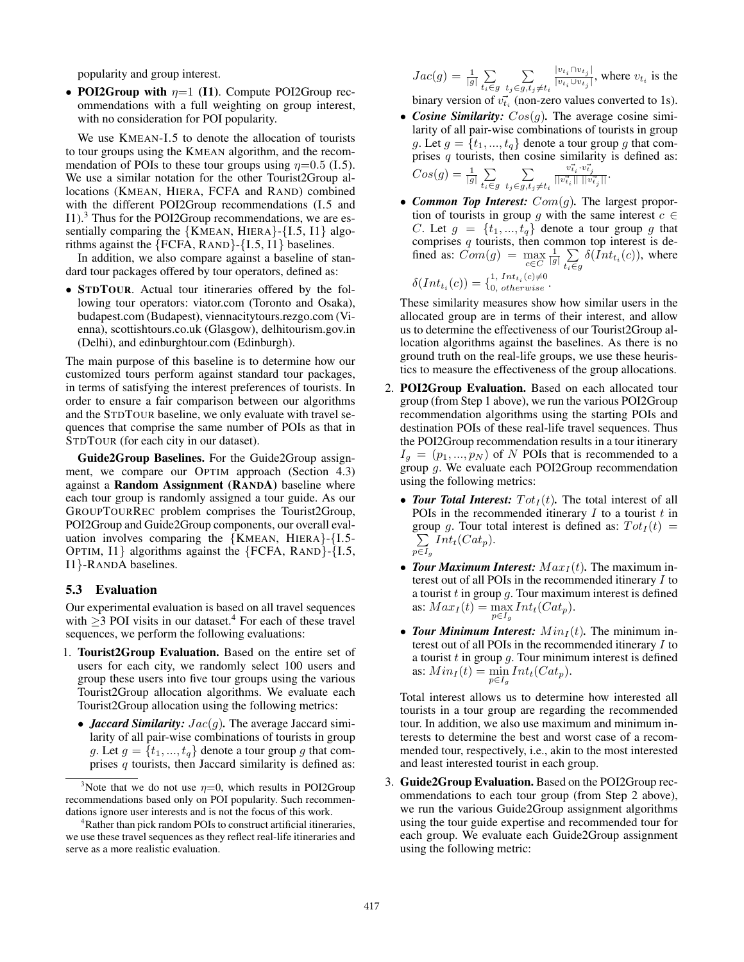popularity and group interest.

• POI2Group with  $\eta=1$  (I1). Compute POI2Group recommendations with a full weighting on group interest, with no consideration for POI popularity.

We use KMEAN-I.5 to denote the allocation of tourists to tour groups using the KMEAN algorithm, and the recommendation of POIs to these tour groups using  $\eta$ =0.5 (I.5). We use a similar notation for the other Tourist2Group allocations (KMEAN, HIERA, FCFA and RAND) combined with the different POI2Group recommendations (I.5 and I1).3 Thus for the POI2Group recommendations, we are essentially comparing the  ${KMEAN, HIERA}$ - ${I.5, I1}$  algorithms against the {FCFA, RAND}-{I.5, I1} baselines.

In addition, we also compare against a baseline of standard tour packages offered by tour operators, defined as:

• STDTOUR. Actual tour itineraries offered by the following tour operators: viator.com (Toronto and Osaka), budapest.com (Budapest), viennacitytours.rezgo.com (Vienna), scottishtours.co.uk (Glasgow), delhitourism.gov.in (Delhi), and edinburghtour.com (Edinburgh).

The main purpose of this baseline is to determine how our customized tours perform against standard tour packages, in terms of satisfying the interest preferences of tourists. In order to ensure a fair comparison between our algorithms and the STDTOUR baseline, we only evaluate with travel sequences that comprise the same number of POIs as that in STDTOUR (for each city in our dataset).

Guide2Group Baselines. For the Guide2Group assignment, we compare our OPTIM approach (Section 4.3) against a Random Assignment (RANDA) baseline where each tour group is randomly assigned a tour guide. As our GROUPTOURREC problem comprises the Tourist2Group, POI2Group and Guide2Group components, our overall evaluation involves comparing the  ${KMEAN, HIERA}$ - ${I.5}$ -OPTIM, I1} algorithms against the {FCFA, RAND}-{I.5, I1}-RANDA baselines.

## 5.3 Evaluation

Our experimental evaluation is based on all travel sequences with  $\geq$ 3 POI visits in our dataset.<sup>4</sup> For each of these travel sequences, we perform the following evaluations:

- 1. Tourist2Group Evaluation. Based on the entire set of users for each city, we randomly select 100 users and group these users into five tour groups using the various Tourist2Group allocation algorithms. We evaluate each Tourist2Group allocation using the following metrics:
	- *Jaccard Similarity:* Jac(g)*.* The average Jaccard similarity of all pair-wise combinations of tourists in group g. Let  $g = \{t_1, ..., t_q\}$  denote a tour group g that comprises  $q$  tourists, then Jaccard similarity is defined as:

$$
Jac(g) = \frac{1}{|g|} \sum_{t_i \in g} \sum_{\substack{t_j \in g, t_j \neq t_i}} \frac{|v_{t_i} \cap v_{t_j}|}{|v_{t_i} \cup v_{t_j}|}, \text{ where } v_{t_i} \text{ is the}
$$

binary version of  $v_{ti}^2$  (non-zero values converted to 1s).

- *Cosine Similarity:*  $Cos(g)$ . The average cosine similarity of all pair-wise combinations of tourists in group g. Let  $g = \{t_1, ..., t_q\}$  denote a tour group g that comprises  $q$  tourists, then cosine similarity is defined as:  $Cos(g) = \frac{1}{|g|} \sum_{t \in G}$  $t_i \in g$  $\sum$  $\frac{\vec{v_{t_i}}\cdot\vec{v_{t_j}}}{||\vec{v_{t_i}}||~||\vec{v_{t_j}}||}\cdot$
- $t_j \in g, t_j \neq t_i$ • *Common Top Interest:* Com(g)*.* The largest proportion of tourists in group g with the same interest  $c \in$ C. Let  $g = \{t_1, ..., t_q\}$  denote a tour group g that comprises  $q$  tourists, then common top interest is defined as:  $\tilde{Com}(g) = \max_{c \in C} \frac{1}{|g|} \sum_{t_i \in g}$  $\sum_{t_i \in g} \delta(Int_{t_i}(c))$ , where

$$
\delta(Int_{t_i}(c)) = \{_{0, \; otherwise}^{1, \; Int_{t_i}(c) \neq 0}.
$$

These similarity measures show how similar users in the allocated group are in terms of their interest, and allow us to determine the effectiveness of our Tourist2Group allocation algorithms against the baselines. As there is no ground truth on the real-life groups, we use these heuristics to measure the effectiveness of the group allocations.

- 2. POI2Group Evaluation. Based on each allocated tour group (from Step 1 above), we run the various POI2Group recommendation algorithms using the starting POIs and destination POIs of these real-life travel sequences. Thus the POI2Group recommendation results in a tour itinerary  $I_g = (p_1, ..., p_N)$  of N POIs that is recommended to a group g. We evaluate each POI2Group recommendation using the following metrics:
	- *Tour Total Interest:*  $Tot_I(t)$ . The total interest of all POIs in the recommended itinerary  $I$  to a tourist  $t$  in group g. Tour total interest is defined as:  $Tot_I(t)$  =  $\sum$  $p \in I_g$  $Int_t(Cat_p).$
	- *Tour Maximum Interest:*  $Max_I(t)$ . The maximum interest out of all POIs in the recommended itinerary I to a tourist  $t$  in group  $q$ . Tour maximum interest is defined as:  $Max_I(t) = \max_{p \in I_g} Int_t(Cat_p).$
	- *Tour Minimum Interest:*  $Min_I(t)$ . The minimum interest out of all POIs in the recommended itinerary I to a tourist  $t$  in group  $g$ . Tour minimum interest is defined as:  $Min_I(t) = \min_{p \in I_g} Int_t(Cat_p).$

Total interest allows us to determine how interested all tourists in a tour group are regarding the recommended tour. In addition, we also use maximum and minimum interests to determine the best and worst case of a recommended tour, respectively, i.e., akin to the most interested and least interested tourist in each group.

3. Guide2Group Evaluation. Based on the POI2Group recommendations to each tour group (from Step 2 above), we run the various Guide2Group assignment algorithms using the tour guide expertise and recommended tour for each group. We evaluate each Guide2Group assignment using the following metric:

<sup>&</sup>lt;sup>3</sup>Note that we do not use  $\eta = 0$ , which results in POI2Group recommendations based only on POI popularity. Such recommendations ignore user interests and is not the focus of this work.

<sup>4</sup> Rather than pick random POIs to construct artificial itineraries, we use these travel sequences as they reflect real-life itineraries and serve as a more realistic evaluation.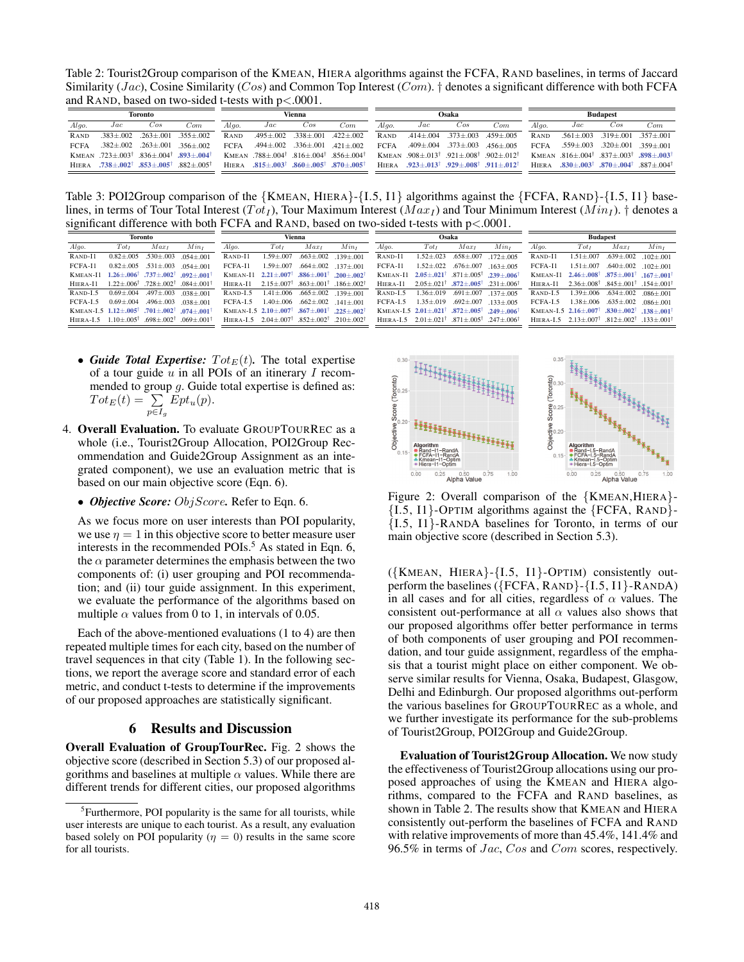Table 2: Tourist2Group comparison of the KMEAN, HIERA algorithms against the FCFA, RAND baselines, in terms of Jaccard Similarity (*Jac*), Cosine Similarity (*Cos*) and Common Top Interest (*Com*). † denotes a significant difference with both FCFA and RAND, based on two-sided t-tests with p<.0001.

| Toronto      |                                                                                   |                                 | Vienna                    |              |                                                                                     |                                                 | Osaka            |             |     |                                 | <b>Budapest</b>                                                                   |              |                                                                                   |                                                 |     |
|--------------|-----------------------------------------------------------------------------------|---------------------------------|---------------------------|--------------|-------------------------------------------------------------------------------------|-------------------------------------------------|------------------|-------------|-----|---------------------------------|-----------------------------------------------------------------------------------|--------------|-----------------------------------------------------------------------------------|-------------------------------------------------|-----|
| Algo.        | Jac                                                                               | Cos                             | $7 \text{om}$             | Alao.        | Jac                                                                                 | Cos                                             | $7 \, \text{cm}$ | Alao.       | Jac | Cos                             | $\sim$ om                                                                         | Alao.        | Jac                                                                               | Cos                                             | Com |
| <b>RAND</b>  |                                                                                   | $.383 \pm .002$ $.263 \pm .001$ | $.355 + .002$             | <b>RAND</b>  |                                                                                     | $.495 \pm .002$ $.338 \pm .001$ $.422 \pm .002$ |                  | <b>RAND</b> |     |                                 | $.414 \pm .004$ $.373 \pm .003$ $.459 \pm .005$                                   | RAND         |                                                                                   | $.561 \pm .003$ $.319 \pm .001$ $.357 \pm .001$ |     |
| <b>FCFA</b>  |                                                                                   | $.382 \pm .002$ $.263 \pm .001$ | $356 + 002$               | <b>FCFA</b>  |                                                                                     | $.494 \pm .002$ $.336 \pm .001$ $.421 \pm .002$ |                  | FCFA        |     | $.409 \pm .004$ $.373 \pm .003$ | $.456 + .005$                                                                     | <b>FCFA</b>  |                                                                                   | $.559 \pm .003$ $.320 \pm .001$ $.359 \pm .001$ |     |
|              | KMEAN $.723 \pm .003^{\dagger}$ $.836 \pm .004^{\dagger}$ $.893 + .004^{\dagger}$ |                                 |                           |              | KMEAN $.788 \pm .004^{\dagger}$ $.816 \pm .004^{\dagger}$ $.856 \pm .004^{\dagger}$ |                                                 |                  |             |     |                                 | KMEAN $.908 \pm .013^{\dagger}$ $.921 \pm .008^{\dagger}$ $.902 + .012^{\dagger}$ |              | KMEAN $.816 \pm .004^{\dagger}$ $.837 \pm .003^{\dagger}$ $.898 + .003^{\dagger}$ |                                                 |     |
| <b>HIERA</b> | $.738 {\pm} .002^{\dagger}$ .853 ${\pm} .005^{\dagger}$                           |                                 | $.882 \pm .005^{\dagger}$ | <b>HIERA</b> | $.815 \pm .003^{\dagger}$ $.860 \pm .005^{\dagger}$ .870 $\pm .005^{\dagger}$       |                                                 |                  |             |     |                                 | HIERA $.923\pm.013^{\dagger}$ $.929\pm.008^{\dagger}$ $.911\pm.012^{\dagger}$     | <b>HIERA</b> | $.830 + .003^{\dagger}$ $.870 + .004^{\dagger}$ $.887 + .004^{\dagger}$           |                                                 |     |

Table 3: POI2Group comparison of the  ${KMEAN, HIERA}$ -{I.5, I1} algorithms against the  ${FCFA, RAND}$ -{I.5, I1} baselines, in terms of Tour Total Interest ( $Tot_I$ ), Tour Maximum Interest ( $Max_I$ ) and Tour Minimum Interest ( $Min_I$ ). † denotes a significant difference with both FCFA and RAND, based on two-sided t-tests with  $p < .0001$ .

| Toronto        |                                                                     |                                                                             |               | Vienna         |                                              |                                                                          |                                                     | Osaka           |                                                                     |                                                                               |                           | <b>Budapest</b>                                                |                  |                                                                                                 |                        |
|----------------|---------------------------------------------------------------------|-----------------------------------------------------------------------------|---------------|----------------|----------------------------------------------|--------------------------------------------------------------------------|-----------------------------------------------------|-----------------|---------------------------------------------------------------------|-------------------------------------------------------------------------------|---------------------------|----------------------------------------------------------------|------------------|-------------------------------------------------------------------------------------------------|------------------------|
| Algo.          | $Tot_I$                                                             | Maxı                                                                        | Min1          | Algo.          | $Tot_I$                                      | $Max_1$                                                                  | Min <sub>r</sub>                                    | Algo.           | $Tot_I$                                                             | Maxı                                                                          | $Min_{I}$                 | Algo.                                                          | Tot <sub>I</sub> | Max <sub>t</sub>                                                                                | Min <sub>r</sub>       |
| RAND-I1        | $0.82 + 0.005$                                                      | $.530 \pm .003$                                                             | $.054 + .001$ | RAND-I1        | $1.59 \pm 0.007$                             | $.663 \pm .002$                                                          | $.139 + .001$                                       | RAND-I1         | $1.52 \pm .023$                                                     | $.658 \pm .007$                                                               | $.172 + .005$             | $R$ AND- $I$ 1                                                 | $1.51 \pm .007$  | $.639 \pm .002$                                                                                 | $.102 + .001$          |
| FCFA-11        | $0.82 + 0.05$                                                       | $.531 \pm .003$                                                             | $.054 + .001$ | FCFA-I1        | $1.59 + 0.007$                               | $.664 {\pm} .002$                                                        | $.137 + .001$                                       | FCFA-11         | $1.52 \pm .022$                                                     | $.676 {\pm} .007$                                                             | $.163 + .005$             | FCFA-11                                                        | $1.51 + 0.007$   | $.640 + .002$                                                                                   | $102 + 001$            |
| KMEAN-I1       |                                                                     | $.26 + .006^{\dagger}$ .737 + .002 <sup><math>\dagger</math></sup>          | $.092 + .001$ |                | <b>KMEAN-I1</b> $2.21 \pm .007$ <sup>T</sup> | $.886 + .001$ <sup>†</sup>                                               | $-200 + 002^{\dagger}$                              |                 | KMEAN-I1 $2.05+.021$ <sup>T</sup> $.871+.005$ <sup>T</sup>          |                                                                               | $-239 + 006$ <sup>†</sup> | KMEAN-I1                                                       |                  | $2.46 + 0.08$ <sup>†</sup> $.875 + 0.01$ <sup>†</sup> $.167 + 0.01$ <sup>†</sup>                |                        |
| HIERA-I1       |                                                                     | $1.22 \pm .006^{\dagger}$ .728 $\pm .002^{\dagger}$ .084 $+ .001^{\dagger}$ |               | HIERA-I1       | $2.15 \pm .007$ <sup>†</sup>                 | $.863 \pm .001^{\dagger}$ .186 $\pm$ 002 <sup><math>\dagger</math></sup> |                                                     | HIERA-I1        |                                                                     | $2.05 \pm .021^{\dagger}$ $.872 \pm .005^{\dagger}$ $.231 \pm .006^{\dagger}$ |                           | HIERA-I1                                                       |                  | $2.36 \pm .008$ <sup>†</sup> .845 $\pm .001$ <sup>†</sup> .154 $\pm .001$ <sup>†</sup>          |                        |
| RAND-L5        | $0.69 + 0.04$                                                       | $.497 \pm .003$                                                             | $.038 + .001$ | RAND-L5        | $1.41 \pm .006$                              | $.665 + .002$                                                            | $139 + 001$                                         | $R$ AND-L5      | $-36 + 019$                                                         | $.691 \pm .007$                                                               | $137 + 005$               | RAND-L5                                                        | $1.39 \pm .006$  | $.634 {\pm} .002$                                                                               | $.086 + .001$          |
| <b>FCFA-L5</b> | $0.69 + 0.004$                                                      | $.496 \pm .003$                                                             | $.038 + .001$ | <b>FCFA-L5</b> | $1.40 + 0.06$                                | $.662 + .002$                                                            | $141 + 001$                                         | <b>FCFA-1.5</b> | $1.35 + 0.019$                                                      | $.692 + .007$                                                                 | $133 + 005$               | FCFA-L5                                                        |                  | $1.38 \pm .006$ .635 $\pm .002$                                                                 | $.086 + .001$          |
|                | KMEAN-I.5 $1.12 \pm .005$ <sup>†</sup> .701 $\pm .002$ <sup>†</sup> |                                                                             | $.074 + .001$ |                | <b>KMEAN-L5</b> $2.10 + .007$ <sup>T</sup>   | $.867 + .001$ <sup>†</sup>                                               | $-225 + 002$                                        |                 | KMEAN-I.5 $2.01 \pm .021$ <sup>†</sup> .872 $\pm .005$ <sup>†</sup> |                                                                               | $-249 + 006^{\dagger}$    |                                                                |                  | KMEAN-L5 $2.16 \pm .007$ <sup>T</sup> $.830 \pm .002$ <sup>T</sup> $.138 \pm .001$ <sup>T</sup> |                        |
| HIERA-L5       | $.10 + .005^{\dagger}$                                              | $.698 + .002$ <sup>†</sup> .069 + .001 <sup>†</sup>                         |               |                | HIERA-L5 $2.04 + .007$ <sup>T</sup>          |                                                                          | $.852 + .002$ <sup>†</sup> .210 + .002 <sup>†</sup> | HIERA-L5        | $2.01 + .021^{\dagger}$ $.871 + .005^{\dagger}$                     |                                                                               | $.247 + .006^{\dagger}$   | HIERA-L5 $2.13 + .007$ <sup>†</sup> $.812 + .002$ <sup>†</sup> |                  |                                                                                                 | $133+001$ <sup>†</sup> |
|                |                                                                     |                                                                             |               |                |                                              |                                                                          |                                                     |                 |                                                                     |                                                                               |                           |                                                                |                  |                                                                                                 |                        |

- *Guide Total Expertise:*  $Tot_E(t)$ . The total expertise of a tour guide  $u$  in all POIs of an itinerary  $I$  recommended to group  $g$ . Guide total expertise is defined as:  $Tot_E(t) = \sum$  $p \in I_g$  $Ept_u(p).$
- 4. Overall Evaluation. To evaluate GROUPTOURREC as a whole (i.e., Tourist2Group Allocation, POI2Group Recommendation and Guide2Group Assignment as an integrated component), we use an evaluation metric that is based on our main objective score (Eqn. 6).
	- *Objective Score:* ObjScore*.* Refer to Eqn. 6.

As we focus more on user interests than POI popularity, we use  $\eta = 1$  in this objective score to better measure user interests in the recommended POIs.<sup>5</sup> As stated in Eqn. 6, the  $\alpha$  parameter determines the emphasis between the two components of: (i) user grouping and POI recommendation; and (ii) tour guide assignment. In this experiment, we evaluate the performance of the algorithms based on multiple  $\alpha$  values from 0 to 1, in intervals of 0.05.

Each of the above-mentioned evaluations (1 to 4) are then repeated multiple times for each city, based on the number of travel sequences in that city (Table 1). In the following sections, we report the average score and standard error of each metric, and conduct t-tests to determine if the improvements of our proposed approaches are statistically significant.

# 6 Results and Discussion

Overall Evaluation of GroupTourRec. Fig. 2 shows the objective score (described in Section 5.3) of our proposed algorithms and baselines at multiple  $\alpha$  values. While there are different trends for different cities, our proposed algorithms



Figure 2: Overall comparison of the {KMEAN,HIERA}-  ${I.5, I1}$ -OPTIM algorithms against the  ${FCFA, RAND}$ -{I.5, I1}-RANDA baselines for Toronto, in terms of our main objective score (described in Section 5.3).

 $({KMEAN, HIERA} - {I.5, I1} - OPTIM)$  consistently outperform the baselines ( ${FCFA, RANDOM} - {I.5, I1} - RANDOM.$ in all cases and for all cities, regardless of  $\alpha$  values. The consistent out-performance at all  $\alpha$  values also shows that our proposed algorithms offer better performance in terms of both components of user grouping and POI recommendation, and tour guide assignment, regardless of the emphasis that a tourist might place on either component. We observe similar results for Vienna, Osaka, Budapest, Glasgow, Delhi and Edinburgh. Our proposed algorithms out-perform the various baselines for GROUPTOURREC as a whole, and we further investigate its performance for the sub-problems of Tourist2Group, POI2Group and Guide2Group.

Evaluation of Tourist2Group Allocation. We now study the effectiveness of Tourist2Group allocations using our proposed approaches of using the KMEAN and HIERA algorithms, compared to the FCFA and RAND baselines, as shown in Table 2. The results show that KMEAN and HIERA consistently out-perform the baselines of FCFA and RAND with relative improvements of more than 45.4%, 141.4% and 96.5% in terms of Jac, Cos and Com scores, respectively.

<sup>&</sup>lt;sup>5</sup>Furthermore, POI popularity is the same for all tourists, while user interests are unique to each tourist. As a result, any evaluation based solely on POI popularity ( $\eta = 0$ ) results in the same score for all tourists.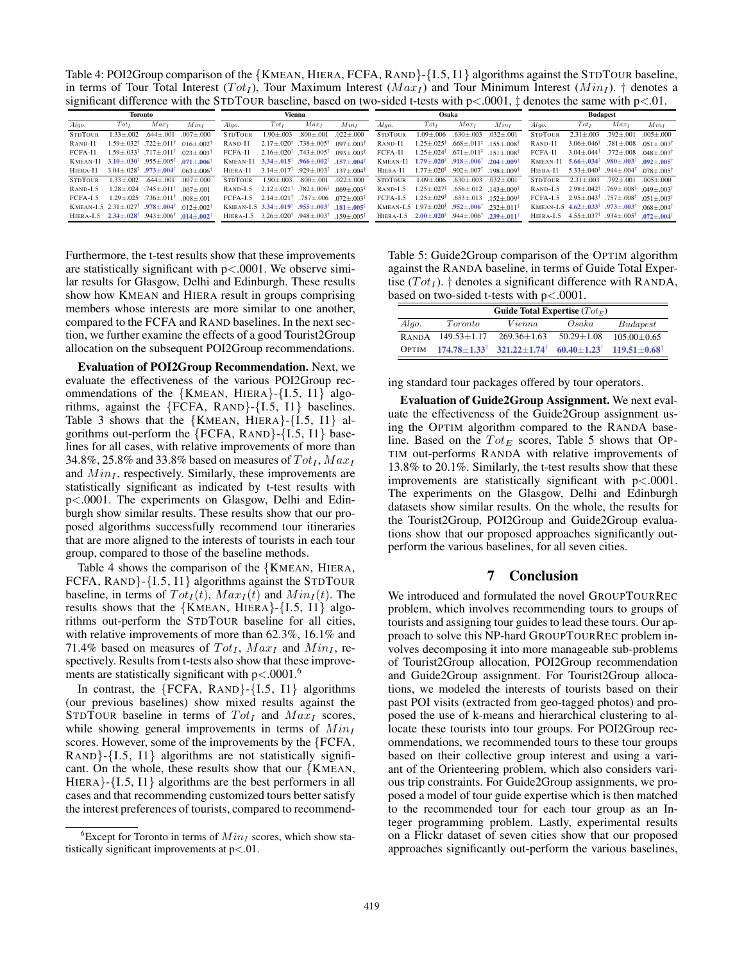Table 4: POI2Group comparison of the {KMEAN, HIERA, FCFA, RAND}-{I.5, I1} algorithms against the STDTOUR baseline, in terms of Tour Total Interest ( $Tot<sub>I</sub>$ ), Tour Maximum Interest ( $Max<sub>I</sub>$ ) and Tour Minimum Interest ( $Min<sub>I</sub>$ ). † denotes a significant difference with the STDTOUR baseline, based on two-sided t-tests with  $p<.0001$ ,  $\ddagger$  denotes the same with  $p<.01$ .

| Toronto        |                                                                     |                                                                             | Vienna                    |                |                                                                                            |                            | Osaka                                        |                |                                                                             |                                                    | <b>Budapest</b>                              |                |                                                                               |                                                                                 |                          |
|----------------|---------------------------------------------------------------------|-----------------------------------------------------------------------------|---------------------------|----------------|--------------------------------------------------------------------------------------------|----------------------------|----------------------------------------------|----------------|-----------------------------------------------------------------------------|----------------------------------------------------|----------------------------------------------|----------------|-------------------------------------------------------------------------------|---------------------------------------------------------------------------------|--------------------------|
| Algo.          | Tot <sub>I</sub>                                                    | $Max_I$                                                                     | Min <sub>t</sub>          | Algo.          | Tot <sub>I</sub>                                                                           | $Max_I$                    | Min <sub>t</sub>                             | Algo.          | Tot <sub>I</sub>                                                            | $Max_I$                                            | Min <sub>I</sub>                             | Algo.          | Tot <sub>I</sub>                                                              | $Max_I$                                                                         | $Min_I$                  |
| <b>STDTOUR</b> | $.33 \pm .002$                                                      | $.644 \pm .001$                                                             | $.007 + .000$             | <b>STDTOUR</b> | $.90 + .003$                                                                               | $.800 \pm .001$            | $.022 \pm .000$                              | <b>STDTOUR</b> | $1.09 \pm 0.006$                                                            | $.630 \pm .003$                                    | $.032 \pm .001$                              | <b>STDTOUR</b> | $2.31 \pm .003$                                                               | $.792 \pm .001$                                                                 | $.005 + .000$            |
| RAND-I1        | $.59 + .032$ <sup>†</sup>                                           | $.722 \pm .011$ <sup>†</sup>                                                | $016+002$ <sup>†</sup>    | RAND-I1        | $2.17 + 020^{\dagger}$                                                                     | $.738 + .005^{\dagger}$    | $.097 + .003^{\dagger}$                      | RAND-I1        | $1.25 + 0.025$ <sup>†</sup>                                                 | $.668 + .011^{\frac{1}{2}}$ 155 + 008 <sup>†</sup> |                                              | $R$ AND- $I$ 1 | $3.06 + 0.046^{\dagger}$                                                      | $.781 {\pm} .008$                                                               | $051 + 003^{\dagger}$    |
| FCFA-I1        |                                                                     | 1.59 + 033 + 717 + 011 + 023 + 003 +                                        |                           | FCFA-I1        | $2.16 + 0.020^{\dagger}$ . 743 + 005 <sup>†</sup>                                          |                            | $093+003$ <sup>†</sup>                       | FCFA-11        | $1.25 + 0.24$ <sup>†</sup>                                                  | $671 + 011^{\frac{1}{2}}$ 151 + 008 <sup>†</sup>   |                                              | FCFA-11        |                                                                               | $3.04 + .044^{\dagger}$ .772 $\pm .008$                                         | $0.48 + 0.03$            |
| KMEAN-I1       |                                                                     | $3.10 + .030^{\dagger}$ .955 + 005 <sup>†</sup>                             | $-071 + 006$ <sup>†</sup> | KMEAN-I1       | $3.34 + .015$ <sup>†</sup> .966 + .002 <sup>†</sup>                                        |                            | $.157 + .004$                                | KMEAN-I1       | $1.79 \pm .020^{\dagger}$ .918 $\pm .006^{\dagger}$ .204 $+ .009^{\dagger}$ |                                                    |                                              | KMEAN-I1       | $5.66 \pm .034^{\dagger}$ .980 $\pm .003^{\dagger}$                           |                                                                                 | $.092 + .005$            |
| HIERA-I1       |                                                                     | $3.04 + 028$ <sup>†</sup> $.973 + .004$ <sup>†</sup> 063 + 006 <sup>†</sup> |                           | HIERA-I1       | $3.14 + 0.017$ <sup>†</sup> 929 + 003 <sup>†</sup>                                         |                            | $137+004^{\dagger}$                          | HIERA-I1       | $1.77 + 0.020$ <sup>†</sup> 902 + 007 <sup>†</sup> 198 + 009 <sup>†</sup>   |                                                    |                                              | HIERA-I1       |                                                                               | $5.33 + 040^{\dagger}$ $.944 + 004^{\dagger}$ $078 + 005^{\dagger}$             |                          |
| <b>STDTOUR</b> | $1.33 + .002$                                                       | $.644 + .001$                                                               | $007 + 000$               | <b>STDTOUR</b> | $1.90 + 0.03$                                                                              | $.800 + .001$              | $022 + 000$                                  | <b>STDTOUR</b> | $1.09 + 0.06$                                                               | $.630 + .003$                                      | $032 + 001$                                  | <b>STDTOUR</b> | $2.31 + 0.003$                                                                | $.792 + .001$                                                                   | $005 + 000$              |
| $RAND-I.5$     |                                                                     | $1.28 \pm .024$ . 745 + 011 <sup>t</sup> 007 + 001                          |                           | $RAND-I.5$     | $2.12 + 021^{\dagger}$ .782 + .006 <sup><math>\ddagger</math></sup> 069 + 003 <sup>†</sup> |                            |                                              | $RAND-I.5$     | $1.25 + 0.027^{\dagger}$                                                    |                                                    | $.656 \pm .012$ 143+009 <sup>†</sup>         | RAND-L5        |                                                                               | $2.98 \pm 0.042^{\dagger}$ . 769 $\pm 0.08^{\dagger}$ 0.49 $\pm 0.03^{\dagger}$ |                          |
| <b>FCFA-L5</b> | $1.29 + 0.025$                                                      | $.736 + .011^+$                                                             | $008 + 001$               | <b>FCFA-L5</b> | $2.14 + 0.021$ <sup>†</sup>                                                                |                            | $.787 \pm .006$ $.072 \pm .003$ <sup>†</sup> | FCFA-L5        | $1.25 + 0.029$ <sup>†</sup>                                                 |                                                    | $.653 \pm .013$ $.152 \pm .009$ <sup>†</sup> | FCFA-L5        | $2.95 \pm .043^{\dagger}$ .757 $\pm .008^{\dagger}$ .051 $\pm .003^{\dagger}$ |                                                                                 |                          |
|                | KMEAN-I.5 $2.31 \pm .027$ <sup>†</sup> .978 $\pm .004$ <sup>†</sup> |                                                                             | $012+002$                 |                | KMEAN-L5 $3.34 + .019$ <sup>†</sup> .955+.003 <sup>†</sup>                                 |                            | $.181 + .005$ <sup>1</sup>                   |                | KMEAN-L5 $1.97 + 0.001$ $.952 + 0.006$                                      |                                                    | $232+011$ <sup>T</sup>                       |                | KMEAN-L5 $4.62 + .033^{\dagger}$ .973+.003 <sup>†</sup>                       |                                                                                 | $068 + 004$ <sup>†</sup> |
| HIERA-L5       | $2.34 + .028$ <sup>†</sup>                                          | $.943 + .006$ <sup>t</sup>                                                  | $-014 + 002$              | HIERA-L5       | 3.26+020 <sup>†</sup>                                                                      | $.948 + .003$ <sup>t</sup> | $159 + 005$ <sup>†</sup>                     | HIERA-L5       | $2.00 + 020^{\dagger}$                                                      | $.944 + .006$ <sup>T</sup>                         | $.239 + .0111$                               | HIERA-I.5      | $4.55 + 0.037^{\dagger}$ . 934 + 005 <sup>†</sup>                             |                                                                                 | $.072 + .004^{\dagger}$  |

Furthermore, the t-test results show that these improvements are statistically significant with  $p < .0001$ . We observe similar results for Glasgow, Delhi and Edinburgh. These results show how KMEAN and HIERA result in groups comprising members whose interests are more similar to one another, compared to the FCFA and RAND baselines. In the next section, we further examine the effects of a good Tourist2Group allocation on the subsequent POI2Group recommendations.

Evaluation of POI2Group Recommendation. Next, we evaluate the effectiveness of the various POI2Group recommendations of the  ${KMEAN, HIERA}$ - ${I.5, I1}$  algorithms, against the  ${FCFA, RAND}$  ${I.5, I1}$  baselines. Table 3 shows that the  ${KMEAN, HIERA}$ - ${I.5, I1}$  algorithms out-perform the  ${FCFA, RAND}$  ${I.5, I1}$  baselines for all cases, with relative improvements of more than 34.8%, 25.8% and 33.8% based on measures of  $Tot<sub>I</sub>$ ,  $Max<sub>I</sub>$ and  $Min<sub>I</sub>$ , respectively. Similarly, these improvements are statistically significant as indicated by t-test results with p<.0001. The experiments on Glasgow, Delhi and Edinburgh show similar results. These results show that our proposed algorithms successfully recommend tour itineraries that are more aligned to the interests of tourists in each tour group, compared to those of the baseline methods.

Table 4 shows the comparison of the {KMEAN, HIERA, FCFA, RAND}-{I.5, I1} algorithms against the STDTOUR baseline, in terms of  $Tot_I(t)$ ,  $Max_I(t)$  and  $Min_I(t)$ . The results shows that the  ${KMEAN, HIERA}$ - ${I.5, I1}$  algorithms out-perform the STDTOUR baseline for all cities, with relative improvements of more than 62.3%, 16.1% and 71.4% based on measures of  $Tot<sub>I</sub>$ ,  $Max<sub>I</sub>$  and  $Min<sub>I</sub>$ , respectively. Results from t-tests also show that these improvements are statistically significant with  $p < .0001$ .<sup>6</sup>

In contrast, the  ${FCFA, RAND}$  {I.5, I1} algorithms (our previous baselines) show mixed results against the STDTOUR baseline in terms of  $Tot_I$  and  $Max_I$  scores, while showing general improvements in terms of  $Min_I$ scores. However, some of the improvements by the {FCFA, RAND}-{I.5, I1} algorithms are not statistically significant. On the whole, these results show that our  ${KMEAN}$ , HIERA}-{I.5, I1} algorithms are the best performers in all cases and that recommending customized tours better satisfy the interest preferences of tourists, compared to recommend-

Table 5: Guide2Group comparison of the OPTIM algorithm against the RANDA baseline, in terms of Guide Total Expertise  $(Tot_I)$ . † denotes a significant difference with RANDA, based on two-sided t-tests with p<.0001.

| Guide Total Expertise $(Tot_E)$ |                           |                            |                          |                           |  |  |  |  |  |  |  |
|---------------------------------|---------------------------|----------------------------|--------------------------|---------------------------|--|--|--|--|--|--|--|
| Algo.                           | Toronto                   | Vienna                     | Osaka                    | Budapest                  |  |  |  |  |  |  |  |
| <b>RANDA</b>                    | $149.53 + 1.17$           | $269.36 + 1.63$            | $50.29 + 1.08$           | $105.00 + 0.65$           |  |  |  |  |  |  |  |
| <b>OPTIM</b>                    | $174.78 + 1.33^{\dagger}$ | $321.22+1.74$ <sup>†</sup> | $60.40 + 1.23^{\dagger}$ | $119.51 + 0.68^{\dagger}$ |  |  |  |  |  |  |  |

ing standard tour packages offered by tour operators.

Evaluation of Guide2Group Assignment. We next evaluate the effectiveness of the Guide2Group assignment using the OPTIM algorithm compared to the RANDA baseline. Based on the  $Tot_E$  scores, Table 5 shows that OP-TIM out-performs RANDA with relative improvements of 13.8% to 20.1%. Similarly, the t-test results show that these improvements are statistically significant with p<.0001. The experiments on the Glasgow, Delhi and Edinburgh datasets show similar results. On the whole, the results for the Tourist2Group, POI2Group and Guide2Group evaluations show that our proposed approaches significantly outperform the various baselines, for all seven cities.

# 7 Conclusion

We introduced and formulated the novel GROUPTOURREC problem, which involves recommending tours to groups of tourists and assigning tour guides to lead these tours. Our approach to solve this NP-hard GROUPTOURREC problem involves decomposing it into more manageable sub-problems of Tourist2Group allocation, POI2Group recommendation and Guide2Group assignment. For Tourist2Group allocations, we modeled the interests of tourists based on their past POI visits (extracted from geo-tagged photos) and proposed the use of k-means and hierarchical clustering to allocate these tourists into tour groups. For POI2Group recommendations, we recommended tours to these tour groups based on their collective group interest and using a variant of the Orienteering problem, which also considers various trip constraints. For Guide2Group assignments, we proposed a model of tour guide expertise which is then matched to the recommended tour for each tour group as an Integer programming problem. Lastly, experimental results on a Flickr dataset of seven cities show that our proposed approaches significantly out-perform the various baselines,

<sup>&</sup>lt;sup>6</sup>Except for Toronto in terms of  $Min_I$  scores, which show statistically significant improvements at  $p<.01$ .